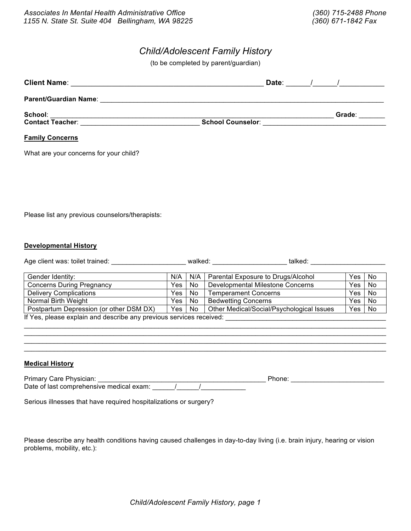# *Child/Adolescent Family History*

(to be completed by parent/guardian)

| Client Name: <u>www.communications.com and the set of the set of the set of the set of the set of the set of the set of the set of the set of the set of the set of the set of the set of the set of the set of the set of the s</u> | Date:                    | $\overline{1}$ and $\overline{1}$ and $\overline{1}$ and $\overline{1}$ and $\overline{1}$ and $\overline{1}$ and $\overline{1}$ and $\overline{1}$ and $\overline{1}$ and $\overline{1}$ and $\overline{1}$ and $\overline{1}$ and $\overline{1}$ and $\overline{1}$ and $\overline{1}$ and $\overline{1}$ and $\overline{1}$ and |
|--------------------------------------------------------------------------------------------------------------------------------------------------------------------------------------------------------------------------------------|--------------------------|------------------------------------------------------------------------------------------------------------------------------------------------------------------------------------------------------------------------------------------------------------------------------------------------------------------------------------|
| <b>Parent/Guardian Name:</b>                                                                                                                                                                                                         |                          |                                                                                                                                                                                                                                                                                                                                    |
| School:<br><b>Contact Teacher:</b>                                                                                                                                                                                                   | <b>School Counselor:</b> | Grade:                                                                                                                                                                                                                                                                                                                             |
| <b>Family Concerns</b>                                                                                                                                                                                                               |                          |                                                                                                                                                                                                                                                                                                                                    |

What are your concerns for your child?

Please list any previous counselors/therapists:

#### **Developmental History**

| Age client was: toilet trained: | walked: | talked |  |
|---------------------------------|---------|--------|--|
|                                 |         |        |  |

| Gender Identity:                                                    | N/A   |        | N/A   Parental Exposure to Drugs/Alcohol  | Yes              | <b>No</b> |  |
|---------------------------------------------------------------------|-------|--------|-------------------------------------------|------------------|-----------|--|
| <b>Concerns During Pregnancy</b>                                    | Yes   | No     | <b>Developmental Milestone Concerns</b>   | Yes <sup>[</sup> | No        |  |
| <b>Delivery Complications</b>                                       | Yes l | No.    | <b>Temperament Concerns</b>               | Yes              | <b>No</b> |  |
| Normal Birth Weight                                                 | Yes   | No     | <b>Bedwetting Concerns</b>                | Yes              | No        |  |
| Postpartum Depression (or other DSM DX)                             |       | Yes No | Other Medical/Social/Psychological Issues | Yes              | No.       |  |
| If Yes, please explain and describe any previous services received: |       |        |                                           |                  |           |  |

\_\_\_\_\_\_\_\_\_\_\_\_\_\_\_\_\_\_\_\_\_\_\_\_\_\_\_\_\_\_\_\_\_\_\_\_\_\_\_\_\_\_\_\_\_\_\_\_\_\_\_\_\_\_\_\_\_\_\_\_\_\_\_\_\_\_\_\_\_\_\_\_\_\_\_\_\_\_\_\_\_\_\_\_\_\_\_\_\_\_\_\_\_\_\_\_\_  $\_$  ,  $\_$  ,  $\_$  ,  $\_$  ,  $\_$  ,  $\_$  ,  $\_$  ,  $\_$  ,  $\_$  ,  $\_$  ,  $\_$  ,  $\_$  ,  $\_$  ,  $\_$  ,  $\_$  ,  $\_$  ,  $\_$  ,  $\_$  ,  $\_$  ,  $\_$  ,  $\_$  ,  $\_$  ,  $\_$  ,  $\_$  ,  $\_$  ,  $\_$  ,  $\_$  ,  $\_$  ,  $\_$  ,  $\_$  ,  $\_$  ,  $\_$  ,  $\_$  ,  $\_$  ,  $\_$  ,  $\_$  ,  $\_$  ,  $\_$  ,  $\_$  ,  $\_$  ,  $\_$  ,  $\_$  ,  $\_$  ,  $\_$  ,  $\_$  ,  $\_$  ,  $\_$  ,  $\_$  ,  $\_$  ,  $\_$  ,  $\_$  ,  $\_$  ,  $\_$  ,  $\_$  ,  $\_$  ,  $\_$  ,  $\_$  ,  $\_$  ,  $\_$  ,  $\_$  ,  $\_$  ,  $\_$  ,  $\_$  ,  $\_$  ,  $\_$  ,  $\_$  ,  $\_$  ,  $\_$  ,  $\_$  ,  $\_$  ,  $\_$  ,  $\_$  ,  $\_$  ,  $\_$  , \_\_\_\_\_\_\_\_\_\_\_\_\_\_\_\_\_\_\_\_\_\_\_\_\_\_\_\_\_\_\_\_\_\_\_\_\_\_\_\_\_\_\_\_\_\_\_\_\_\_\_\_\_\_\_\_\_\_\_\_\_\_\_\_\_\_\_\_\_\_\_\_\_\_\_\_\_\_\_\_\_\_\_\_\_\_\_\_\_\_\_\_\_\_\_\_\_

## **Medical History**

Primary Care Physician: \_\_\_\_\_\_\_\_\_\_\_\_\_\_\_\_\_\_\_\_\_\_\_\_\_\_\_\_\_\_\_\_\_\_\_\_\_\_\_\_\_\_\_\_\_ Phone: \_\_\_\_\_\_\_\_\_\_\_\_\_\_\_\_\_\_\_\_\_\_\_\_\_ Date of last comprehensive medical exam: \_\_\_\_\_\_/\_\_\_\_\_\_/\_\_\_\_\_\_\_\_\_\_\_\_

Serious illnesses that have required hospitalizations or surgery?

Please describe any health conditions having caused challenges in day-to-day living (i.e. brain injury, hearing or vision problems, mobility, etc.):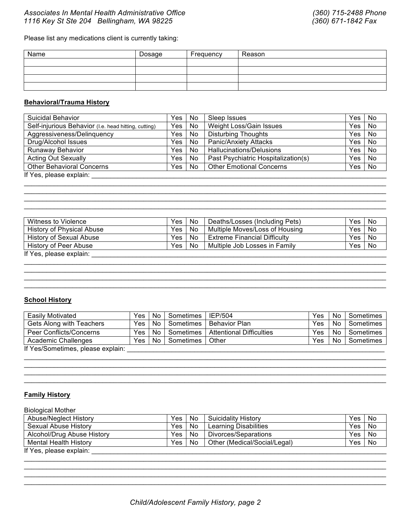# *Associates In Mental Health Administrative Office (360) 715-2488 Phone 1116 Key St Ste 204 Bellingham, WA 98225 (360) 671-1842 Fax*

Please list any medications client is currently taking:

| Name | Dosage | Frequency | Reason |
|------|--------|-----------|--------|
|      |        |           |        |
|      |        |           |        |
|      |        |           |        |
|      |        |           |        |

## **Behavioral/Trauma History**

| Suicidal Behavior                                    | Yes   | No. | Sleep Issues                        | Yes | <b>No</b> |  |
|------------------------------------------------------|-------|-----|-------------------------------------|-----|-----------|--|
| Self-injurious Behavior (I.e. head hitting, cutting) | Yes I | No  | Weight Loss/Gain Issues             | Yes | No        |  |
| Aggressiveness/Delinquency                           | Yes   | No. | <b>Disturbing Thoughts</b>          | Yes | No        |  |
| Drug/Alcohol Issues                                  | Yes   | No. | <b>Panic/Anxiety Attacks</b>        | Yes | No        |  |
| Runaway Behavior                                     | Yes   | No  | Hallucinations/Delusions            | Yes | No        |  |
| <b>Acting Out Sexually</b>                           | Yes   | No. | Past Psychiatric Hospitalization(s) | Yes | No        |  |
| <b>Other Behavioral Concerns</b>                     | Yes   | No  | <b>Other Emotional Concerns</b>     | Yes | No        |  |
| If Yes, please explain:                              |       |     |                                     |     |           |  |

 $\mathcal{L}_\mathcal{L} = \mathcal{L}_\mathcal{L} = \mathcal{L}_\mathcal{L} = \mathcal{L}_\mathcal{L} = \mathcal{L}_\mathcal{L} = \mathcal{L}_\mathcal{L} = \mathcal{L}_\mathcal{L} = \mathcal{L}_\mathcal{L} = \mathcal{L}_\mathcal{L} = \mathcal{L}_\mathcal{L} = \mathcal{L}_\mathcal{L} = \mathcal{L}_\mathcal{L} = \mathcal{L}_\mathcal{L} = \mathcal{L}_\mathcal{L} = \mathcal{L}_\mathcal{L} = \mathcal{L}_\mathcal{L} = \mathcal{L}_\mathcal{L}$  $\mathcal{L}_\mathcal{L} = \{ \mathcal{L}_\mathcal{L} = \{ \mathcal{L}_\mathcal{L} = \{ \mathcal{L}_\mathcal{L} = \{ \mathcal{L}_\mathcal{L} = \{ \mathcal{L}_\mathcal{L} = \{ \mathcal{L}_\mathcal{L} = \{ \mathcal{L}_\mathcal{L} = \{ \mathcal{L}_\mathcal{L} = \{ \mathcal{L}_\mathcal{L} = \{ \mathcal{L}_\mathcal{L} = \{ \mathcal{L}_\mathcal{L} = \{ \mathcal{L}_\mathcal{L} = \{ \mathcal{L}_\mathcal{L} = \{ \mathcal{L}_\mathcal{$  $\mathcal{L}_\text{max}$  , and the set of the set of the set of the set of the set of the set of the set of the set of the set of the set of the set of the set of the set of the set of the set of the set of the set of the set of the  $\mathcal{L}_\text{max}$  , and the set of the set of the set of the set of the set of the set of the set of the set of the set of the set of the set of the set of the set of the set of the set of the set of the set of the set of the

| Witness to Violence       | Yes   | No  | Deaths/Losses (Including Pets) | Yes | <b>No</b> |
|---------------------------|-------|-----|--------------------------------|-----|-----------|
| History of Physical Abuse | Yes ' | No. | Multiple Moves/Loss of Housing | Yes | No        |
| History of Sexual Abuse   | Yes   | No. | l Extreme Financial Difficulty | Yes | No        |
| History of Peer Abuse     | Yes   | No. | Multiple Job Losses in Family  | Yes | No        |
| If Yes, please explain:   |       |     |                                |     |           |

 $\mathcal{L}_\text{max}$  , and the set of the set of the set of the set of the set of the set of the set of the set of the set of the set of the set of the set of the set of the set of the set of the set of the set of the set of the  $\mathcal{L}_\text{max}$  , and the set of the set of the set of the set of the set of the set of the set of the set of the set of the set of the set of the set of the set of the set of the set of the set of the set of the set of the  $\mathcal{L}_\mathcal{L} = \{ \mathcal{L}_\mathcal{L} = \{ \mathcal{L}_\mathcal{L} = \{ \mathcal{L}_\mathcal{L} = \{ \mathcal{L}_\mathcal{L} = \{ \mathcal{L}_\mathcal{L} = \{ \mathcal{L}_\mathcal{L} = \{ \mathcal{L}_\mathcal{L} = \{ \mathcal{L}_\mathcal{L} = \{ \mathcal{L}_\mathcal{L} = \{ \mathcal{L}_\mathcal{L} = \{ \mathcal{L}_\mathcal{L} = \{ \mathcal{L}_\mathcal{L} = \{ \mathcal{L}_\mathcal{L} = \{ \mathcal{L}_\mathcal{$  $\mathcal{L}_\mathcal{L} = \{ \mathcal{L}_\mathcal{L} = \{ \mathcal{L}_\mathcal{L} = \{ \mathcal{L}_\mathcal{L} = \{ \mathcal{L}_\mathcal{L} = \{ \mathcal{L}_\mathcal{L} = \{ \mathcal{L}_\mathcal{L} = \{ \mathcal{L}_\mathcal{L} = \{ \mathcal{L}_\mathcal{L} = \{ \mathcal{L}_\mathcal{L} = \{ \mathcal{L}_\mathcal{L} = \{ \mathcal{L}_\mathcal{L} = \{ \mathcal{L}_\mathcal{L} = \{ \mathcal{L}_\mathcal{L} = \{ \mathcal{L}_\mathcal{$ 

#### **School History**

| Easily Motivated                 | Yes  | No        | Sometimes   | <b>IEP/504</b>                  | Yes | No | Sometimes |
|----------------------------------|------|-----------|-------------|---------------------------------|-----|----|-----------|
| Gets Along with Teachers         | Yes  | No        | Sometimes   | Behavior Plan                   | Yes | No | Sometimes |
| Peer Conflicts/Concerns          | Yes  | <b>No</b> | Sometimes I | <b>Attentional Difficulties</b> | Yes | No | Sometimes |
| Academic Challenges              | Yes. | No        | Sometimes   | Other                           | Yes | No | Sometimes |
| If Yes/Sometimes please explain: |      |           |             |                                 |     |    |           |

 $\mathcal{L}_\text{max}$  , and the set of the set of the set of the set of the set of the set of the set of the set of the set of the set of the set of the set of the set of the set of the set of the set of the set of the set of the  $\mathcal{L}_\mathcal{L} = \mathcal{L}_\mathcal{L} = \mathcal{L}_\mathcal{L} = \mathcal{L}_\mathcal{L} = \mathcal{L}_\mathcal{L} = \mathcal{L}_\mathcal{L} = \mathcal{L}_\mathcal{L} = \mathcal{L}_\mathcal{L} = \mathcal{L}_\mathcal{L} = \mathcal{L}_\mathcal{L} = \mathcal{L}_\mathcal{L} = \mathcal{L}_\mathcal{L} = \mathcal{L}_\mathcal{L} = \mathcal{L}_\mathcal{L} = \mathcal{L}_\mathcal{L} = \mathcal{L}_\mathcal{L} = \mathcal{L}_\mathcal{L}$  $\mathcal{L}_\mathcal{L} = \mathcal{L}_\mathcal{L} = \mathcal{L}_\mathcal{L} = \mathcal{L}_\mathcal{L} = \mathcal{L}_\mathcal{L} = \mathcal{L}_\mathcal{L} = \mathcal{L}_\mathcal{L} = \mathcal{L}_\mathcal{L} = \mathcal{L}_\mathcal{L} = \mathcal{L}_\mathcal{L} = \mathcal{L}_\mathcal{L} = \mathcal{L}_\mathcal{L} = \mathcal{L}_\mathcal{L} = \mathcal{L}_\mathcal{L} = \mathcal{L}_\mathcal{L} = \mathcal{L}_\mathcal{L} = \mathcal{L}_\mathcal{L}$  $\mathcal{L}_\mathcal{L} = \{ \mathcal{L}_\mathcal{L} = \{ \mathcal{L}_\mathcal{L} = \{ \mathcal{L}_\mathcal{L} = \{ \mathcal{L}_\mathcal{L} = \{ \mathcal{L}_\mathcal{L} = \{ \mathcal{L}_\mathcal{L} = \{ \mathcal{L}_\mathcal{L} = \{ \mathcal{L}_\mathcal{L} = \{ \mathcal{L}_\mathcal{L} = \{ \mathcal{L}_\mathcal{L} = \{ \mathcal{L}_\mathcal{L} = \{ \mathcal{L}_\mathcal{L} = \{ \mathcal{L}_\mathcal{L} = \{ \mathcal{L}_\mathcal{$ 

If Yes/Sometimes, please explain: \_\_\_\_\_\_\_\_\_\_\_\_\_\_\_\_\_\_\_\_\_\_\_\_\_\_\_\_\_\_\_\_\_\_\_\_\_\_\_\_\_\_\_\_\_\_\_\_\_\_\_\_\_\_\_\_\_\_\_\_\_\_\_\_\_\_\_\_\_

### **Family History**

| <b>Biological Mother</b>     |      |     |                              |     |    |
|------------------------------|------|-----|------------------------------|-----|----|
| <b>Abuse/Neglect History</b> | Yes  | No  | <b>Suicidality History</b>   | Yes | No |
| Sexual Abuse History         | Yes  | No  | <b>Learning Disabilities</b> | Yes | No |
| Alcohol/Drug Abuse History   | Yes  | No. | Divorces/Separations         | Yes | No |
| <b>Mental Health History</b> | Yes. | No. | Other (Medical/Social/Legal) | Yes | No |
| If Yes, please explain:      |      |     |                              |     |    |

 $\mathcal{L}_\text{max}$  , and the set of the set of the set of the set of the set of the set of the set of the set of the set of the set of the set of the set of the set of the set of the set of the set of the set of the set of the  $\mathcal{L}_\mathcal{L} = \mathcal{L}_\mathcal{L} = \mathcal{L}_\mathcal{L} = \mathcal{L}_\mathcal{L} = \mathcal{L}_\mathcal{L} = \mathcal{L}_\mathcal{L} = \mathcal{L}_\mathcal{L} = \mathcal{L}_\mathcal{L} = \mathcal{L}_\mathcal{L} = \mathcal{L}_\mathcal{L} = \mathcal{L}_\mathcal{L} = \mathcal{L}_\mathcal{L} = \mathcal{L}_\mathcal{L} = \mathcal{L}_\mathcal{L} = \mathcal{L}_\mathcal{L} = \mathcal{L}_\mathcal{L} = \mathcal{L}_\mathcal{L}$  $\mathcal{L}_\mathcal{L} = \{ \mathcal{L}_\mathcal{L} = \{ \mathcal{L}_\mathcal{L} = \{ \mathcal{L}_\mathcal{L} = \{ \mathcal{L}_\mathcal{L} = \{ \mathcal{L}_\mathcal{L} = \{ \mathcal{L}_\mathcal{L} = \{ \mathcal{L}_\mathcal{L} = \{ \mathcal{L}_\mathcal{L} = \{ \mathcal{L}_\mathcal{L} = \{ \mathcal{L}_\mathcal{L} = \{ \mathcal{L}_\mathcal{L} = \{ \mathcal{L}_\mathcal{L} = \{ \mathcal{L}_\mathcal{L} = \{ \mathcal{L}_\mathcal{$ 

\_\_\_\_\_\_\_\_\_\_\_\_\_\_\_\_\_\_\_\_\_\_\_\_\_\_\_\_\_\_\_\_\_\_\_\_\_\_\_\_\_\_\_\_\_\_\_\_\_\_\_\_\_\_\_\_\_\_\_\_\_\_\_\_\_\_\_\_\_\_\_\_\_\_\_\_\_\_\_\_\_\_\_\_\_\_\_\_\_\_\_\_\_\_\_\_\_